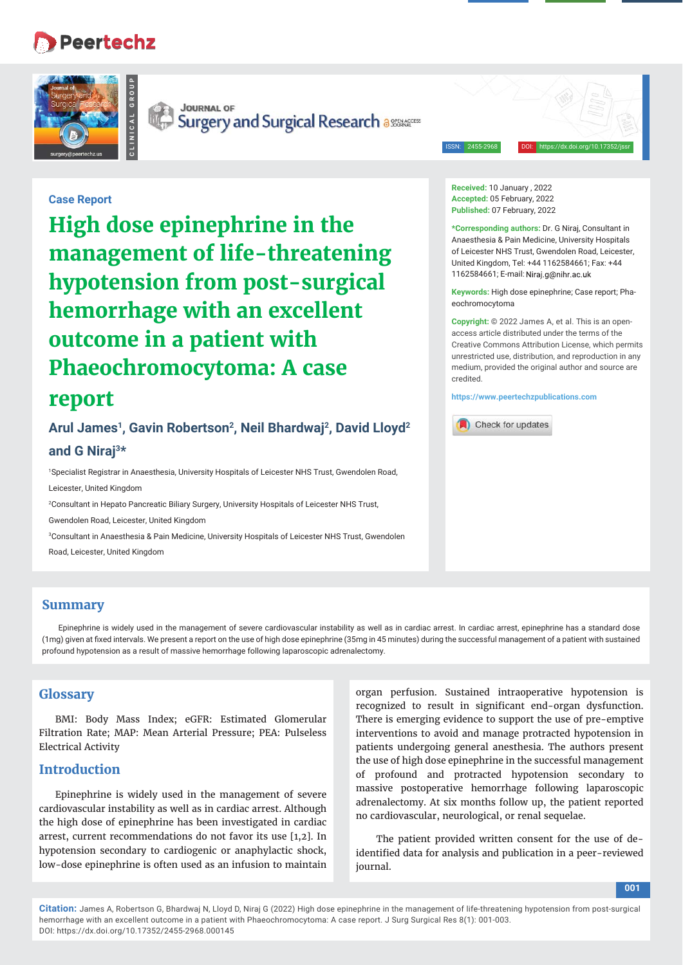# **Peertechz**





**JOURNAL OF Surgery and Surgical Research assements** 

#### ISSN: 2455-2968 DOI: https://dx.doi.org/10.17352/jssr

**Received:** 10 January , 2022 **Accepted:** 05 February, 2022 **Published:** 07 February, 2022

eochromocytoma

credited.

**\*Corresponding authors:** Dr. G Niraj, Consultant in Anaesthesia & Pain Medicine, University Hospitals of Leicester NHS Trust, Gwendolen Road, Leicester, United Kingdom, Tel: +44 1162584661; Fax: +44 1162584661; E-mail:

**Keywords:** High dose epinephrine; Case report; Pha-

**Copyright:** © 2022 James A, et al. This is an openaccess article distributed under the terms of the Creative Commons Attribution License, which permits unrestricted use, distribution, and reproduction in any medium, provided the original author and source are

## **Case Report**

**High dose epinephrine in the management of life-threatening hypotension from post-surgical hemorrhage with an excellent outcome in a patient with Phaeochromocytoma: A case** 

# **report**

# Arul James<sup>1</sup>, Gavin Robertson<sup>2</sup>, Neil Bhardwaj<sup>2</sup>, David Lloyd<sup>2</sup> **and G Niraj3\***

1 Specialist Registrar in Anaesthesia, University Hospitals of Leicester NHS Trust, Gwendolen Road, Leicester, United Kingdom

2 Consultant in Hepato Pancreatic Biliary Surgery, University Hospitals of Leicester NHS Trust,

Gwendolen Road, Leicester, United Kingdom

3 Consultant in Anaesthesia & Pain Medicine, University Hospitals of Leicester NHS Trust, Gwendolen Road, Leicester, United Kingdom

### **Summary**

Epinephrine is widely used in the management of severe cardiovascular instability as well as in cardiac arrest. In cardiac arrest, epinephrine has a standard dose (1mg) given at fi xed intervals. We present a report on the use of high dose epinephrine (35mg in 45 minutes) during the successful management of a patient with sustained profound hypotension as a result of massive hemorrhage following laparoscopic adrenalectomy.

### **Glossary**

BMI: Body Mass Index; eGFR: Estimated Glomerular Filtration Rate; MAP: Mean Arterial Pressure; PEA: Pulseless Electrical Activity

### **Introduction**

Epinephrine is widely used in the management of severe cardiovascular instability as well as in cardiac arrest. Although the high dose of epinephrine has been investigated in cardiac arrest, current recommendations do not favor its use [1,2]. In hypotension secondary to cardiogenic or anaphylactic shock, low-dose epinephrine is often used as an infusion to maintain

organ perfusion. Sustained intraoperative hypotension is recognized to result in significant end-organ dysfunction. There is emerging evidence to support the use of pre-emptive interventions to avoid and manage protracted hypotension in patients undergoing general anesthesia. The authors present the use of high dose epinephrine in the successful management of profound and protracted hypotension secondary to massive postoperative hemorrhage following laparoscopic adrenalectomy. At six months follow up, the patient reported no cardiovascular, neurological, or renal sequelae.

 The patient provided written consent for the use of deidentified data for analysis and publication in a peer-reviewed journal.

# **https://www.peertechzpublications.com**

Check for updates

**Citation:** James A, Robertson G, Bhardwaj N, Lloyd D, Niraj G (2022) High dose epinephrine in the management of life-threatening hypotension from post-surgical hemorrhage with an excellent outcome in a patient with Phaeochromocytoma: A case report. J Surg Surgical Res 8(1): 001-003. DOI: https://dx.doi.org/10.17352/2455-2968.000145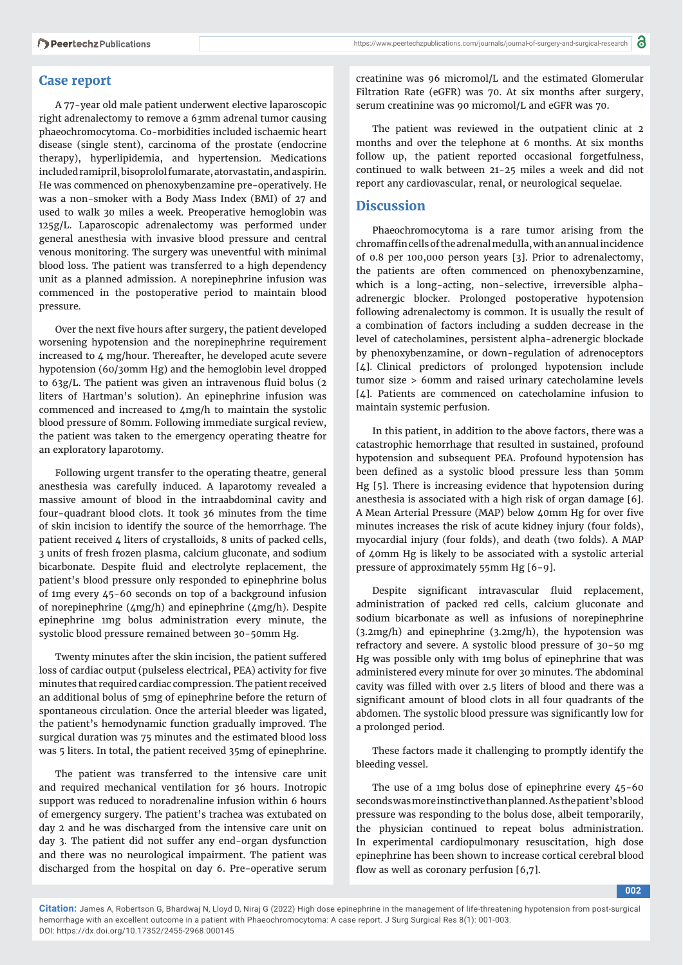### **Case report**

A 77-year old male patient underwent elective laparoscopic right adrenalectomy to remove a 63mm adrenal tumor causing phaeochromocytoma. Co-morbidities included ischaemic heart disease (single stent), carcinoma of the prostate (endocrine therapy), hyperlipidemia, and hypertension. Medications included ramipril, bisoprolol fumarate, atorvastatin, and aspirin. He was commenced on phenoxybenzamine pre-operatively. He was a non-smoker with a Body Mass Index (BMI) of 27 and used to walk 30 miles a week. Preoperative hemoglobin was 125g/L. Laparoscopic adrenalectomy was performed under general anesthesia with invasive blood pressure and central venous monitoring. The surgery was uneventful with minimal blood loss. The patient was transferred to a high dependency unit as a planned admission. A norepinephrine infusion was commenced in the postoperative period to maintain blood pressure.

Over the next five hours after surgery, the patient developed worsening hypotension and the norepinephrine requirement increased to 4 mg/hour. Thereafter, he developed acute severe hypotension (60/30mm Hg) and the hemoglobin level dropped to  $63g/L$ . The patient was given an intravenous fluid bolus (2) liters of Hartman's solution). An epinephrine infusion was commenced and increased to 4mg/h to maintain the systolic blood pressure of 80mm. Following immediate surgical review, the patient was taken to the emergency operating theatre for an exploratory laparotomy.

Following urgent transfer to the operating theatre, general anesthesia was carefully induced. A laparotomy revealed a massive amount of blood in the intraabdominal cavity and four-quadrant blood clots. It took 36 minutes from the time of skin incision to identify the source of the hemorrhage. The patient received 4 liters of crystalloids, 8 units of packed cells, 3 units of fresh frozen plasma, calcium gluconate, and sodium bicarbonate. Despite fluid and electrolyte replacement, the patient's blood pressure only responded to epinephrine bolus of 1mg every 45-60 seconds on top of a background infusion of norepinephrine (4mg/h) and epinephrine (4mg/h). Despite epinephrine 1mg bolus administration every minute, the systolic blood pressure remained between 30-50mm Hg.

Twenty minutes after the skin incision, the patient suffered loss of cardiac output (pulseless electrical, PEA) activity for five minutes that required cardiac compression. The patient received an additional bolus of 5mg of epinephrine before the return of spontaneous circulation. Once the arterial bleeder was ligated, the patient's hemodynamic function gradually improved. The surgical duration was 75 minutes and the estimated blood loss was 5 liters. In total, the patient received 35mg of epinephrine.

The patient was transferred to the intensive care unit and required mechanical ventilation for 36 hours. Inotropic support was reduced to noradrenaline infusion within 6 hours of emergency surgery. The patient's trachea was extubated on day 2 and he was discharged from the intensive care unit on day 3. The patient did not suffer any end-organ dysfunction and there was no neurological impairment. The patient was discharged from the hospital on day 6. Pre-operative serum

creatinine was 96 micromol/L and the estimated Glomerular Filtration Rate (eGFR) was 70. At six months after surgery, serum creatinine was 90 micromol/L and eGFR was 70.

The patient was reviewed in the outpatient clinic at 2 months and over the telephone at 6 months. At six months follow up, the patient reported occasional forgetfulness, continued to walk between 21-25 miles a week and did not report any cardiovascular, renal, or neurological sequelae.

### **Discussion**

Phaeochromocytoma is a rare tumor arising from the chromaffin cells of the adrenal medulla, with an annual incidence of 0.8 per 100,000 person years [3]. Prior to adrenalectomy, the patients are often commenced on phenoxybenzamine, which is a long-acting, non-selective, irreversible alphaadrenergic blocker. Prolonged postoperative hypotension following adrenalectomy is common. It is usually the result of a combination of factors including a sudden decrease in the level of catecholamines, persistent alpha-adrenergic blockade by phenoxybenzamine, or down-regulation of adrenoceptors [4]. Clinical predictors of prolonged hypotension include tumor size > 60mm and raised urinary catecholamine levels [4]. Patients are commenced on catecholamine infusion to maintain systemic perfusion.

In this patient, in addition to the above factors, there was a catastrophic hemorrhage that resulted in sustained, profound hypotension and subsequent PEA. Profound hypotension has been defined as a systolic blood pressure less than 50mm Hg [5]. There is increasing evidence that hypotension during anesthesia is associated with a high risk of organ damage [6]. A Mean Arterial Pressure (MAP) below 40mm Hg for over five minutes increases the risk of acute kidney injury (four folds), myocardial injury (four folds), and death (two folds). A MAP of 40mm Hg is likely to be associated with a systolic arterial pressure of approximately 55mm Hg [6-9].

Despite significant intravascular fluid replacement, administration of packed red cells, calcium gluconate and sodium bicarbonate as well as infusions of norepinephrine (3.2mg/h) and epinephrine (3.2mg/h), the hypotension was refractory and severe. A systolic blood pressure of 30-50 mg Hg was possible only with 1mg bolus of epinephrine that was administered every minute for over 30 minutes. The abdominal cavity was filled with over 2.5 liters of blood and there was a significant amount of blood clots in all four quadrants of the abdomen. The systolic blood pressure was significantly low for a prolonged period.

These factors made it challenging to promptly identify the bleeding vessel.

The use of a 1mg bolus dose of epinephrine every 45-60 seconds was more instinctive than planned. As the patient's blood pressure was responding to the bolus dose, albeit temporarily, the physician continued to repeat bolus administration. In experimental cardiopulmonary resuscitation, high dose epinephrine has been shown to increase cortical cerebral blood flow as well as coronary perfusion  $[6,7]$ .

**002**

**Citation:** James A, Robertson G, Bhardwaj N, Lloyd D, Niraj G (2022) High dose epinephrine in the management of life-threatening hypotension from post-surgical hemorrhage with an excellent outcome in a patient with Phaeochromocytoma: A case report. J Surg Surgical Res 8(1): 001-003. DOI: https://dx.doi.org/10.17352/2455-2968.000145